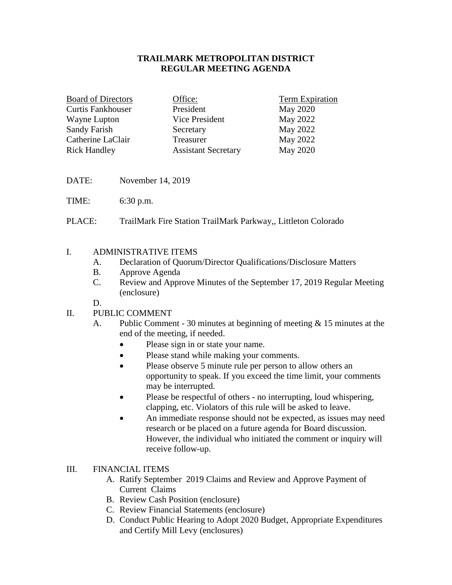## **TRAILMARK METROPOLITAN DISTRICT REGULAR MEETING AGENDA**

| <b>Board of Directors</b> | Office:                    | Term Expiration |
|---------------------------|----------------------------|-----------------|
| <b>Curtis Fankhouser</b>  | President                  | <b>May 2020</b> |
| Wayne Lupton              | Vice President             | May 2022        |
| Sandy Farish              | Secretary                  | May 2022        |
| Catherine LaClair         | Treasurer                  | May 2022        |
| <b>Rick Handley</b>       | <b>Assistant Secretary</b> | <b>May 2020</b> |

- DATE: November 14, 2019
- TIME: 6:30 p.m.
- PLACE: TrailMark Fire Station TrailMark Parkway,, Littleton Colorado

## I. ADMINISTRATIVE ITEMS

- A. Declaration of Quorum/Director Qualifications/Disclosure Matters
- B. Approve Agenda
- C. Review and Approve Minutes of the September 17, 2019 Regular Meeting (enclosure)

D.

## II. PUBLIC COMMENT

- A. Public Comment 30 minutes at beginning of meeting & 15 minutes at the end of the meeting, if needed.
	- Please sign in or state your name.
	- Please stand while making your comments.
	- Please observe 5 minute rule per person to allow others an opportunity to speak. If you exceed the time limit, your comments may be interrupted.
	- Please be respectful of others no interrupting, loud whispering, clapping, etc. Violators of this rule will be asked to leave.
	- An immediate response should not be expected, as issues may need research or be placed on a future agenda for Board discussion. However, the individual who initiated the comment or inquiry will receive follow-up.

## III. FINANCIAL ITEMS

- A. Ratify September 2019 Claims and Review and Approve Payment of Current Claims
- B. Review Cash Position (enclosure)
- C. Review Financial Statements (enclosure)
- D. Conduct Public Hearing to Adopt 2020 Budget, Appropriate Expenditures and Certify Mill Levy (enclosures)